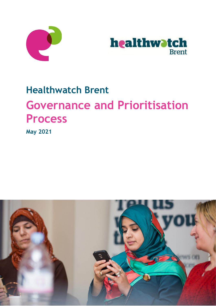



# **Healthwatch Brent Governance and Prioritisation Process**

**May 2021**

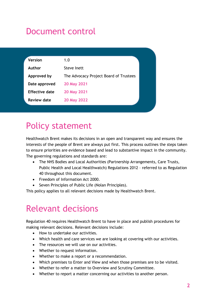## Document control

| <b>Version</b> | 1.0                                    |  |
|----------------|----------------------------------------|--|
| Author         | Steve Inett                            |  |
| Approved by    | The Advocacy Project Board of Trustees |  |
| Date approved  | 20 May 2021                            |  |
| Effective date | 20 May 2021                            |  |
| Review date    | 20 May 2022                            |  |
|                |                                        |  |

## Policy statement

Healthwatch Brent makes its decisions in an open and transparent way and ensures the interests of the people of Brent are always put first. This process outlines the steps taken to ensure priorities are evidence based and lead to substantive impact in the community. The governing regulations and standards are:

- The NHS Bodies and Local Authorities (Partnership Arrangements, Care Trusts, Public Health and Local Healthwatch) Regulations 2012 – referred to as Regulation 40 throughout this document.
- Freedom of Information Act 2000.
- Seven Principles of Public Life (Nolan Principles).

This policy applies to all relevant decisions made by Healthwatch Brent.

## Relevant decisions

Regulation 40 requires Healthwatch Brent to have in place and publish procedures for making relevant decisions. Relevant decisions include:

- How to undertake our activities.
- Which health and care services we are looking at covering with our activities.
- The resources we will use on our activities.
- Whether to request information.
- Whether to make a report or a recommendation.
- Which premises to Enter and View and when those premises are to be visited.
- Whether to refer a matter to Overview and Scrutiny Committee.
- Whether to report a matter concerning our activities to another person.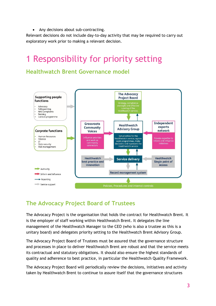• Any decisions about sub-contracting.

Relevant decisions do not include day-to-day activity that may be required to carry out exploratory work prior to making a relevant decision.

## **Responsibility for priority setting**

### **Healthwatch Brent Governance model**



## **The Advocacy Project Board of Trustees**

The Advocacy Project is the organisation that holds the contract for Healthwatch Brent. It is the employer of staff working within Healthwatch Brent. It delegates the line management of the Healthwatch Manager to the CEO (who is also a trustee as this is a unitary board) and delegates priority setting to the Healthwatch Brent Advisory Group.

The Advocacy Project Board of Trustees must be assured that the governance structure and processes in place to deliver Healthwatch Brent are robust and that the service meets its contractual and statutory obligations. It should also ensure the highest standards of quality and adherence to best practice, in particular the Healthwatch Quality Framework.

The Advocacy Project Board will periodically review the decisions, initiatives and activity taken by Healthwatch Brent to continue to assure itself that the governance structures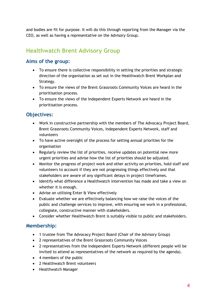and bodies are fit for purpose. It will do this through reporting from the Manager via the CEO, as well as having a representative on the Advisory Group.

## **Healthwatch Brent Advisory Group**

### **Aims of the group:**

- To ensure there is collective responsibility in setting the priorities and strategic direction of the organisation as set out in the Healthwatch Brent Workplan and Strategy.
- To ensure the views of the Brent Grassroots Community Voices are heard in the prioritisation process.
- To ensure the views of the Independent Experts Network are heard in the prioritisation process.

### **Objectives:**

- Work in constructive partnership with the members of The Advocacy Project Board, Brent Grassroots Community Voices, Independent Experts Network, staff and volunteers
- To have active oversight of the process for setting annual priorities for the organisation
- Regularly review the list of priorities, receive updates on potential new more urgent priorities and advise how the list of priorities should be adjusted.
- Monitor the progress of project work and other activity on priorities, hold staff and volunteers to account if they are not progressing things effectively and that stakeholders are aware of any significant delays in project timeframes.
- Identify what difference a Healthwatch intervention has made and take a view on whether it is enough.
- Advise on utilising Enter & View effectively
- Evaluate whether we are effectively balancing how we raise the voices of the public and challenge services to improve, with ensuring we work in a professional, collegiate, constructive manner with stakeholders.
- Consider whether Healthwatch Brent is suitably visible to public and stakeholders.

### **Membership:**

- 1 trustee from The Advocacy Project Board (Chair of the Advisory Group)
- 2 representatives of the Brent Grassroots Community Voices
- 2 representatives from the Independent Experts Network (different people will be invited to attend as representatives of the network as required by the agenda).
- 4 members of the public
- 2 Healthwatch Brent volunteers
- Healthwatch Manager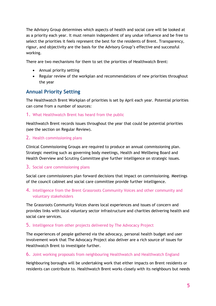The Advisory Group determines which aspects of health and social care will be looked at as a priority each year. It must remain independent of any undue influence and be free to select the priorities it feels represent the best for the residents of Brent. Transparency, rigour, and objectivity are the basis for the Advisory Group's effective and successful working.

There are two mechanisms for them to set the priorities of Healthwatch Brent:

- Annual priority setting
- Regular review of the workplan and recommendations of new priorities throughout the year

### **Annual Priority Setting**

The Healthwatch Brent Workplan of priorities is set by April each year. Potential priorities can come from a number of sources:

#### 1. What Healthwatch Brent has heard from the public

Healthwatch Brent records issues throughout the year that could be potential priorities (see the section on Regular Review).

#### 2. Health commissioning plans

Clinical Commissioning Groups are required to produce an annual commissioning plan. Strategic meeting such as governing body meetings, Health and Wellbeing Board and Health Overview and Scrutiny Committee give further intelligence on strategic issues.

#### 3. Social care commissioning plans

Social care commissioners plan forward decisions that impact on commissioning. Meetings of the council cabinet and social care committee provide further intelligence.

#### 4. Intelligence from the Brent Grassroots Community Voices and other community and voluntary stakeholders

The Grassroots Community Voices shares local experiences and issues of concern and provides links with local voluntary sector infrastructure and charities delivering health and social care services.

#### 5. Intelligence from other projects delivered by The Advocacy Project

The experiences of people gathered via the advocacy, personal health budget and user involvement work that The Advocacy Project also deliver are a rich source of issues for Healthwatch Brent to investigate further.

#### 6. Joint working proposals from neighbouring Healthwatch and Healthwatch England

Neighbouring boroughs will be undertaking work that either impacts on Brent residents or residents can contribute to. Healthwatch Brent works closely with its neighbours but needs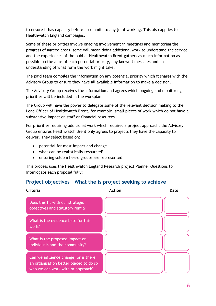to ensure it has capacity before it commits to any joint working. This also applies to Healthwatch England campaigns.

Some of these priorities involve ongoing involvement in meetings and monitoring the progress of agreed areas, some will mean doing additional work to understand the service and the experiences of the public. Healthwatch Brent gathers as much information as possible on the aims of each potential priority, any known timescales and an understanding of what form the work might take.

The paid team compiles the information on any potential priority which it shares with the Advisory Group to ensure they have all available information to make a decision.

The Advisory Group receives the information and agrees which ongoing and monitoring priorities will be included in the workplan.

The Group will have the power to delegate some of the relevant decision making to the Lead Officer of Healthwatch Brent, for example, small pieces of work which do not have a substantive impact on staff or financial resources.

For priorities requiring additional work which requires a project approach, the Advisory Group ensures Healthwatch Brent only agrees to projects they have the capacity to deliver. They select based on:

- potential for most impact and change
- what can be realistically resourced?
- ensuring seldom heard groups are represented.

This process uses the Healthwatch England Research project Planner Questions to interrogate each proposal fully:

### **Project objectives – What the is project seeking to achieve**

| Criteria                                                                                                            | <b>Action</b> | Date |
|---------------------------------------------------------------------------------------------------------------------|---------------|------|
| Does this fit with our strategic<br>objectives and statutory remit?                                                 |               |      |
| What is the evidence base for this<br>work?                                                                         |               |      |
| What is the proposed impact on<br>individuals and the community?                                                    |               |      |
| Can we influence change, or is there<br>an organisation better placed to do so<br>who we can work with or approach? |               |      |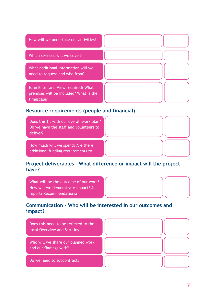| How will we undertake our activities?                                                       |  |
|---------------------------------------------------------------------------------------------|--|
| Which services will we cover?                                                               |  |
| What additional information will we<br>need to request and who from?                        |  |
| Is an Enter and View required? What<br>premises will be included? What is the<br>timescale? |  |

### **Resource requirements (people and financial)**

Does this fit with our overall work plan? Do we have the staff and volunteers to deliver?

How much will we spend? Are there additional funding requirements to

deliver this project?

### **Project deliverables – What difference or impact will the project have?**

What will be the outcome of our work? How will we demonstrate impact? A report? Recommendations?

### **Communication – Who will be interested in our outcomes and impact?**

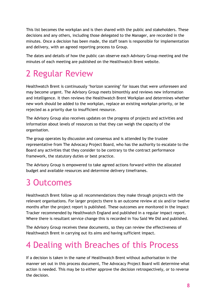This list becomes the workplan and is then shared with the public and stakeholders. These decisions and any others, including those delegated to the Manager, are recorded in the minutes. Once a decision has been made, the staff team is responsible for implementation and delivery, with an agreed reporting process to Group.

The dates and details of how the public can observe each Advisory Group meeting and the minutes of each meeting are published on the Healthwatch Brent website.

## 2 Regular Review

Healthwatch Brent is continuously 'horizon scanning' for issues that were unforeseen and may become urgent. The Advisory Group meets bimonthly and reviews new information and intelligence. It then reviews the Healthwatch Brent Workplan and determines whether new work should be added to the workplan, replace an existing workplan priority, or be rejected as a priority due to insufficient resource.

The Advisory Group also receives updates on the progress of projects and activities and information about levels of resources so that they can weigh the capacity of the organisation.

The group operates by discussion and consensus and is attended by the trustee representative from The Advocacy Project Board, who has the authority to escalate to the Board any activities that they consider to be contrary to the contract performance framework, the statutory duties or best practice.

The Advisory Group is empowered to take agreed actions forward within the allocated budget and available resources and determine delivery timeframes.

## 3 Outcomes

Healthwatch Brent follow up all recommendations they make through projects with the relevant organisations. For larger projects there is an outcome review at six and/or twelve months after the project report is published. These outcomes are monitored in the Impact Tracker recommended by Healthwatch England and published in a regular impact report. Where there is resultant service change this is recorded in You Said We Did and published.

The Advisory Group receives these documents, so they can review the effectiveness of Healthwatch Brent in carrying out its aims and having sufficient impact.

## 4 Dealing with Breaches of this Process

If a decision is taken in the name of Healthwatch Brent without authorisation in the manner set out in this process document, The Advocacy Project Board will determine what action is needed. This may be to either approve the decision retrospectively, or to reverse the decision.